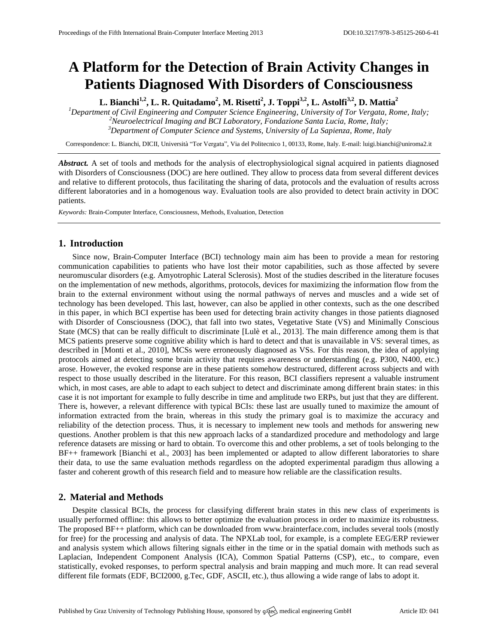# **A Platform for the Detection of Brain Activity Changes in Patients Diagnosed With Disorders of Consciousness**

**L. Bianchi1,2 , L. R. Quitadamo<sup>2</sup> , M. Risetti<sup>2</sup> , J. Toppi3,2, L. Astolfi3,2 , D. Mattia<sup>2</sup>**

*<sup>1</sup>Department of Civil Engineering and Computer Science Engineering, University of Tor Vergata, Rome, Italy; <sup>2</sup>Neuroelectrical Imaging and BCI Laboratory, Fondazione Santa Lucia, Rome, Italy; <sup>3</sup>Department of Computer Science and Systems, University of La Sapienza, Rome, Italy*

Correspondence: L. Bianchi, DICII, Università "Tor Vergata", Via del Politecnico 1, 00133, Rome, Italy. E-mail[: luigi.bianchi@uniroma2.it](mailto:luigi.bianchi@uniroma2.it)

*Abstract.* A set of tools and methods for the analysis of electrophysiological signal acquired in patients diagnosed with Disorders of Consciousness (DOC) are here outlined. They allow to process data from several different devices and relative to different protocols, thus facilitating the sharing of data, protocols and the evaluation of results across different laboratories and in a homogenous way. Evaluation tools are also provided to detect brain activity in DOC patients.

*Keywords:* Brain-Computer Interface, Consciousness, Methods, Evaluation, Detection

#### **1. Introduction**

Since now, Brain-Computer Interface (BCI) technology main aim has been to provide a mean for restoring communication capabilities to patients who have lost their motor capabilities, such as those affected by severe neuromuscular disorders (e.g. Amyotrophic Lateral Sclerosis). Most of the studies described in the literature focuses on the implementation of new methods, algorithms, protocols, devices for maximizing the information flow from the brain to the external environment without using the normal pathways of nerves and muscles and a wide set of technology has been developed. This last, however, can also be applied in other contexts, such as the one described in this paper, in which BCI expertise has been used for detecting brain activity changes in those patients diagnosed with Disorder of Consciousness (DOC), that fall into two states, Vegetative State (VS) and Minimally Conscious State (MCS) that can be really difficult to discriminate [Lulè et al., 2013]. The main difference among them is that MCS patients preserve some cognitive ability which is hard to detect and that is unavailable in VS: several times, as described in [Monti et al., 2010], MCSs were erroneously diagnosed as VSs. For this reason, the idea of applying protocols aimed at detecting some brain activity that requires awareness or understanding (e.g. P300, N400, etc.) arose. However, the evoked response are in these patients somehow destructured, different across subjects and with respect to those usually described in the literature. For this reason, BCI classifiers represent a valuable instrument which, in most cases, are able to adapt to each subject to detect and discriminate among different brain states: in this case it is not important for example to fully describe in time and amplitude two ERPs, but just that they are different. There is, however, a relevant difference with typical BCIs: these last are usually tuned to maximize the amount of information extracted from the brain, whereas in this study the primary goal is to maximize the accuracy and reliability of the detection process. Thus, it is necessary to implement new tools and methods for answering new questions. Another problem is that this new approach lacks of a standardized procedure and methodology and large reference datasets are missing or hard to obtain. To overcome this and other problems, a set of tools belonging to the BF++ framework [Bianchi et al., 2003] has been implemented or adapted to allow different laboratories to share their data, to use the same evaluation methods regardless on the adopted experimental paradigm thus allowing a faster and coherent growth of this research field and to measure how reliable are the classification results.

## **2. Material and Methods**

Despite classical BCIs, the process for classifying different brain states in this new class of experiments is usually performed offline: this allows to better optimize the evaluation process in order to maximize its robustness. The proposed BF++ platform, which can be downloaded from [www.brainterface.com,](http://www.brainterface.com/) includes several tools (mostly for free) for the processing and analysis of data. The NPXLab tool, for example, is a complete EEG/ERP reviewer and analysis system which allows filtering signals either in the time or in the spatial domain with methods such as Laplacian, Independent Component Analysis (ICA), Common Spatial Patterns (CSP), etc., to compare, even statistically, evoked responses, to perform spectral analysis and brain mapping and much more. It can read several different file formats (EDF, BCI2000, g.Tec, GDF, ASCII, etc.), thus allowing a wide range of labs to adopt it.